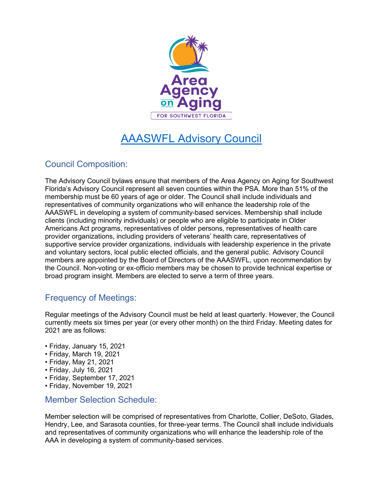

# AAASWFL Advisory Council

## Council Composition:

The Advisory Council bylaws ensure that members of the Area Agency on Aging for Southwest Florida's Advisory Council represent all seven counties within the PSA. More than 51% of the membership must be 60 years of age or older. The Council shall include individuals and representatives of community organizations who will enhance the leadership role of the AAASWFL in developing a system of community-based services. Membership shall include clients (including minority individuals) or people who are eligible to participate in Older Americans Act programs, representatives of older persons, representatives of health care provider organizations, including providers of veterans' health care, representatives of supportive service provider organizations, individuals with leadership experience in the private and voluntary sectors, local public elected officials, and the general public. Advisory Council members are appointed by the Board of Directors of the AAASWFL, upon recommendation by the Council. Non-voting or ex-officio members may be chosen to provide technical expertise or broad program insight. Members are elected to serve a term of three years.

## Frequency of Meetings:

Regular meetings of the Advisory Council must be held at least quarterly. However, the Council currently meets six times per year (or every other month) on the third Friday. Meeting dates for 2021 are as follows:

- Friday, January 15, 2021
- Friday, March 19, 2021
- Friday, May 21, 2021
- Friday, July 16, 2021
- Friday, September 17, 2021
- Friday, November 19, 2021

#### Member Selection Schedule:

Member selection will be comprised of representatives from Charlotte, Collier, DeSoto, Glades, Hendry, Lee, and Sarasota counties, for three-year terms. The Council shall include individuals and representatives of community organizations who will enhance the leadership role of the AAA in developing a system of community-based services.